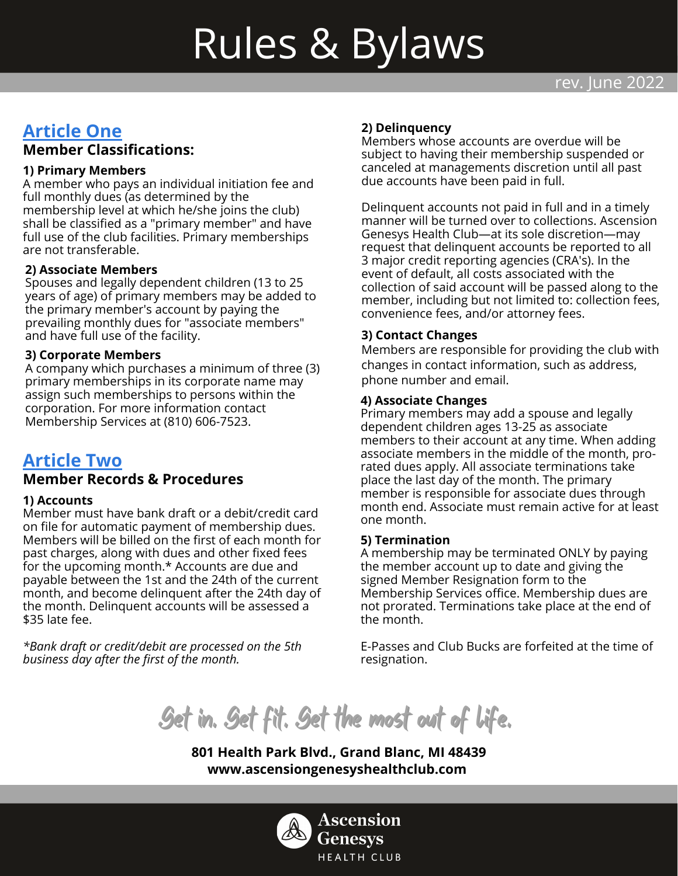# Rules & Bylaws

# **Article One Member Classifications:**

# **1) Primary Members**

A member who pays an individual initiation fee and full monthly dues (as determined by the membership level at which he/she joins the club) shall be classified as a "primary member" and have full use of the club facilities. Primary memberships are not transferable.

# **2) Associate Members**

Spouses and legally dependent children (13 to 25 years of age) of primary members may be added to the primary member's account by paying the prevailing monthly dues for "associate members" and have full use of the facility.

# **3) Corporate Members**

A company which purchases a minimum of three (3) primary memberships in its corporate name may assign such memberships to persons within the corporation. For more information contact Membership Services at (810) 606-7523.

# **Article Two**

# **Member Records & Procedures**

#### **1) Accounts**

Member must have bank draft or a debit/credit card on file for automatic payment of membership dues. Members will be billed on the first of each month for past charges, along with dues and other fixed fees for the upcoming month.\* Accounts are due and payable between the 1st and the 24th of the current month, and become delinquent after the 24th day of the month. Delinquent accounts will be assessed a \$35 late fee.

*\*Bank draft or credit/debit are processed on the 5th business day after the first of the month.*

#### **2) Delinquency**

Members whose accounts are overdue will be subject to having their membership suspended or canceled at managements discretion until all past due accounts have been paid in full.

Delinquent accounts not paid in full and in a timely manner will be turned over to collections. Ascension Genesys Health Club—at its sole discretion—may request that delinquent accounts be reported to all 3 major credit reporting agencies (CRA's). In the event of default, all costs associated with the collection of said account will be passed along to the member, including but not limited to: collection fees, convenience fees, and/or attorney fees.

# **3) Contact Changes**

Members are responsible for providing the club with changes in contact information, such as address, phone number and email.

#### **4) Associate Changes**

Primary members may add a spouse and legally dependent children ages 13-25 as associate members to their account at any time. When adding associate members in the middle of the month, prorated dues apply. All associate terminations take place the last day of the month. The primary member is responsible for associate dues through month end. Associate must remain active for at least one month.

# **5) Termination**

A membership may be terminated ONLY by paying the member account up to date and giving the signed Member Resignation form to the Membership Services office. Membership dues are not prorated. Terminations take place at the end of the month.

E-Passes and Club Bucks are forfeited at the time of resignation.

Get in. Get fit. Get the most out of life.

**801 Health Park Blvd., Grand Blanc, MI 48439 www.ascensiongenesyshealthclub.com**

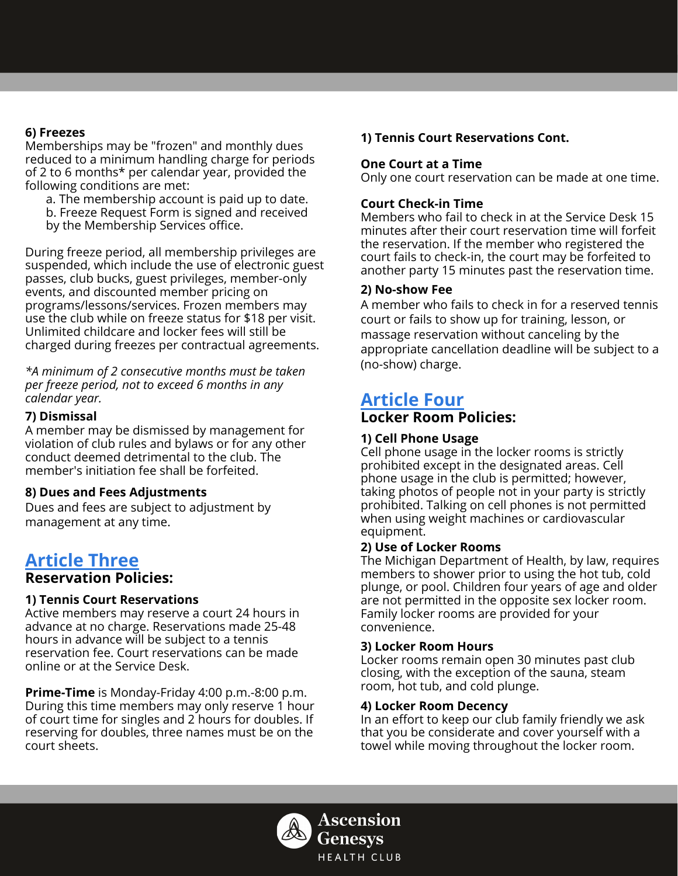#### **6) Freezes**

Memberships may be "frozen" and monthly dues reduced to a minimum handling charge for periods of 2 to 6 months\* per calendar year, provided the following conditions are met:

a. The membership account is paid up to date.

- b. Freeze Request Form is signed and received
- by the Membership Services office.

During freeze period, all membership privileges are suspended, which include the use of electronic guest passes, club bucks, guest privileges, member-only events, and discounted member pricing on programs/lessons/services. Frozen members may use the club while on freeze status for \$18 per visit. Unlimited childcare and locker fees will still be charged during freezes per contractual agreements.

*\*A minimum of 2 consecutive months must be taken per freeze period, not to exceed 6 months in any calendar year.*

#### **7) Dismissal**

A member may be dismissed by management for violation of club rules and bylaws or for any other conduct deemed detrimental to the club. The member's initiation fee shall be forfeited.

#### **8) Dues and Fees Adjustments**

Dues and fees are subject to adjustment by management at any time.

# **Article Three**

# **Reservation Policies:**

# **1) Tennis Court Reservations**

Active members may reserve a court 24 hours in advance at no charge. Reservations made 25-48 hours in advance will be subject to a tennis reservation fee. Court reservations can be made online or at the Service Desk.

**Prime-Time** is Monday-Friday 4:00 p.m.-8:00 p.m. During this time members may only reserve 1 hour of court time for singles and 2 hours for doubles. If reserving for doubles, three names must be on the court sheets.

# **1) Tennis Court Reservations Cont.**

#### **One Court at a Time**

Only one court reservation can be made at one time.

#### **Court Check-in Time**

Members who fail to check in at the Service Desk 15 minutes after their court reservation time will forfeit the reservation. If the member who registered the court fails to check-in, the court may be forfeited to another party 15 minutes past the reservation time.

#### **2) No-show Fee**

A member who fails to check in for a reserved tennis court or fails to show up for training, lesson, or massage reservation without canceling by the appropriate cancellation deadline will be subject to a (no-show) charge.

# **Article Four**

# **Locker Room Policies:**

#### **1) Cell Phone Usage**

Cell phone usage in the locker rooms is strictly prohibited except in the designated areas. Cell phone usage in the club is permitted; however, taking photos of people not in your party is strictly prohibited. Talking on cell phones is not permitted when using weight machines or cardiovascular equipment.

#### **2) Use of Locker Rooms**

The Michigan Department of Health, by law, requires members to shower prior to using the hot tub, cold plunge, or pool. Children four years of age and older are not permitted in the opposite sex locker room. Family locker rooms are provided for your convenience.

#### **3) Locker Room Hours**

Locker rooms remain open 30 minutes past club closing, with the exception of the sauna, steam room, hot tub, and cold plunge.

#### **4) Locker Room Decency**

In an effort to keep our club family friendly we ask that you be considerate and cover yourself with a towel while moving throughout the locker room.

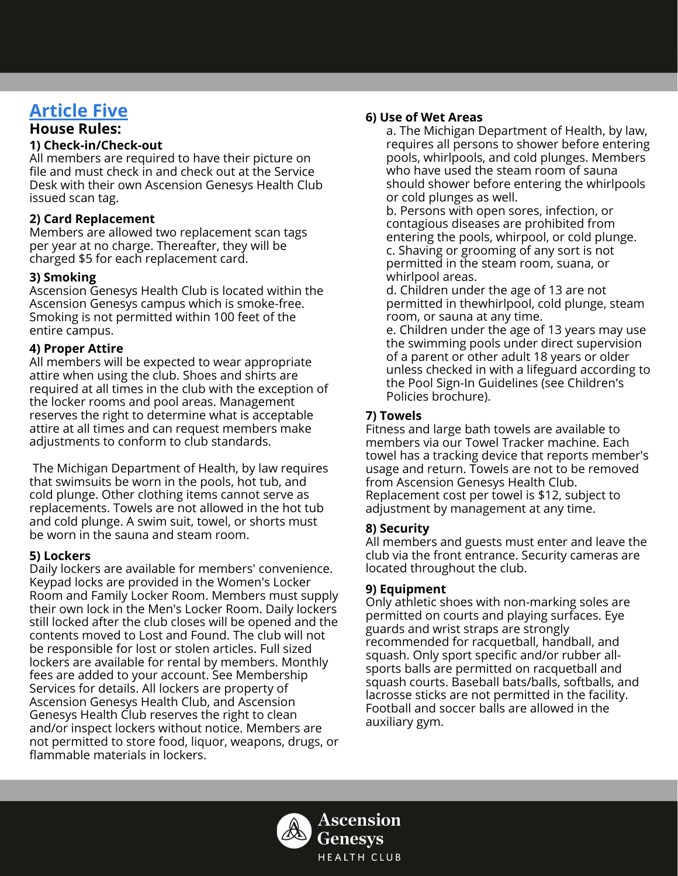# **Article Five**

# **House Rules:**

#### **1) Check-in/Check-out**

All members are required to have their picture on file and must check in and check out at the Service Desk with their own Ascension Genesys Health Club issued scan tag.

# **2) Card Replacement**

Members are allowed two replacement scan tags per year at no charge. Thereafter, they will be charged \$5 for each replacement card.

# **3) Smoking**

Ascension Genesys Health Club is located within the Ascension Genesys campus which is smoke-free. Smoking is not permitted within 100 feet of the entire campus.

# **4) Proper Attire**

All members will be expected to wear appropriate attire when using the club. Shoes and shirts are required at all times in the club with the exception of the locker rooms and pool areas. Management reserves the right to determine what is acceptable attire at all times and can request members make adjustments to conform to club standards.

The Michigan Department of Health, by law requires that swimsuits be worn in the pools, hot tub, and cold plunge. Other clothing items cannot serve as replacements. Towels are not allowed in the hot tub and cold plunge. A swim suit, towel, or shorts must be worn in the sauna and steam room.

# **5) Lockers**

Daily lockers are available for members' convenience. Keypad locks are provided in the Women's Locker Room and Family Locker Room. Members must supply their own lock in the Men's Locker Room. Daily lockers still locked after the club closes will be opened and the contents moved to Lost and Found. The club will not be responsible for lost or stolen articles. Full sized lockers are available for rental by members. Monthly fees are added to your account. See Membership Services for details. All lockers are property of Ascension Genesys Health Club, and Ascension Genesys Health Club reserves the right to clean and/or inspect lockers without notice. Members are not permitted to store food, liquor, weapons, drugs, or flammable materials in lockers.

# **6) Use of Wet Areas**

a. The Michigan Department of Health, by law, requires all persons to shower before entering pools, whirlpools, and cold plunges. Members who have used the steam room of sauna should shower before entering the whirlpools or cold plunges as well.

b. Persons with open sores, infection, or contagious diseases are prohibited from entering the pools, whirpool, or cold plunge. c. Shaving or grooming of any sort is not permitted in the steam room, suana, or whirlpool areas.

d. Children under the age of 13 are not permitted in thewhirlpool, cold plunge, steam room, or sauna at any time.

e. Children under the age of 13 years may use the swimming pools under direct supervision of a parent or other adult 18 years or older unless checked in with a lifeguard according to the Pool Sign-In Guidelines (see Children's Policies brochure).

# **7) Towels**

Fitness and large bath towels are available to members via our Towel Tracker machine. Each towel has a tracking device that reports member's usage and return. Towels are not to be removed from Ascension Genesys Health Club. Replacement cost per towel is \$12, subject to adjustment by management at any time.

# **8) Security**

All members and guests must enter and leave the club via the front entrance. Security cameras are located throughout the club.

# **9) Equipment**

Only athletic shoes with non-marking soles are permitted on courts and playing surfaces. Eye guards and wrist straps are strongly recommended for racquetball, handball, and squash. Only sport specific and/or rubber allsports balls are permitted on racquetball and squash courts. Baseball bats/balls, softballs, and lacrosse sticks are not permitted in the facility. Football and soccer balls are allowed in the auxiliary gym.